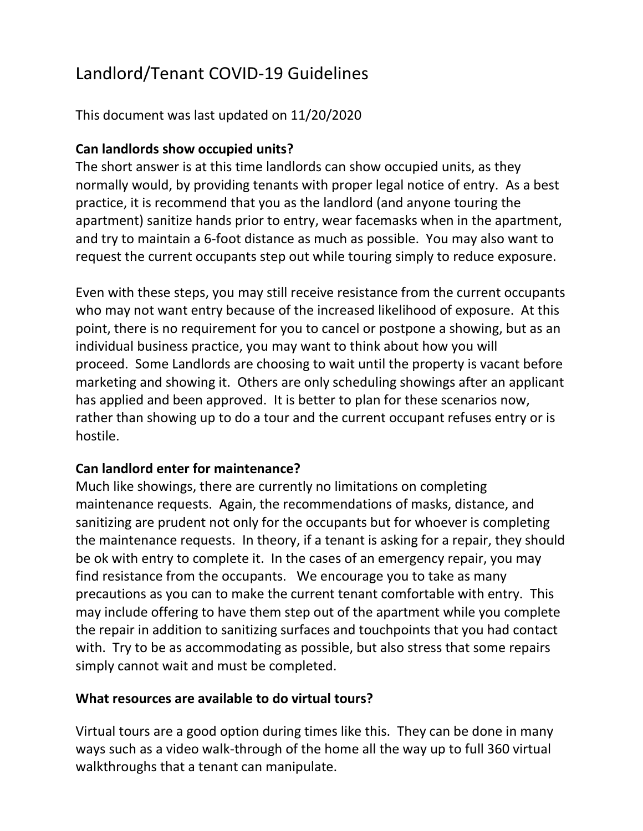# Landlord/Tenant COVID-19 Guidelines

## This document was last updated on 11/20/2020

### **Can landlords show occupied units?**

The short answer is at this time landlords can show occupied units, as they normally would, by providing tenants with proper legal notice of entry. As a best practice, it is recommend that you as the landlord (and anyone touring the apartment) sanitize hands prior to entry, wear facemasks when in the apartment, and try to maintain a 6-foot distance as much as possible. You may also want to request the current occupants step out while touring simply to reduce exposure.

Even with these steps, you may still receive resistance from the current occupants who may not want entry because of the increased likelihood of exposure. At this point, there is no requirement for you to cancel or postpone a showing, but as an individual business practice, you may want to think about how you will proceed. Some Landlords are choosing to wait until the property is vacant before marketing and showing it. Others are only scheduling showings after an applicant has applied and been approved. It is better to plan for these scenarios now, rather than showing up to do a tour and the current occupant refuses entry or is hostile.

#### **Can landlord enter for maintenance?**

Much like showings, there are currently no limitations on completing maintenance requests. Again, the recommendations of masks, distance, and sanitizing are prudent not only for the occupants but for whoever is completing the maintenance requests. In theory, if a tenant is asking for a repair, they should be ok with entry to complete it. In the cases of an emergency repair, you may find resistance from the occupants. We encourage you to take as many precautions as you can to make the current tenant comfortable with entry. This may include offering to have them step out of the apartment while you complete the repair in addition to sanitizing surfaces and touchpoints that you had contact with. Try to be as accommodating as possible, but also stress that some repairs simply cannot wait and must be completed.

#### **What resources are available to do virtual tours?**

Virtual tours are a good option during times like this. They can be done in many ways such as a video walk-through of the home all the way up to full 360 virtual walkthroughs that a tenant can manipulate.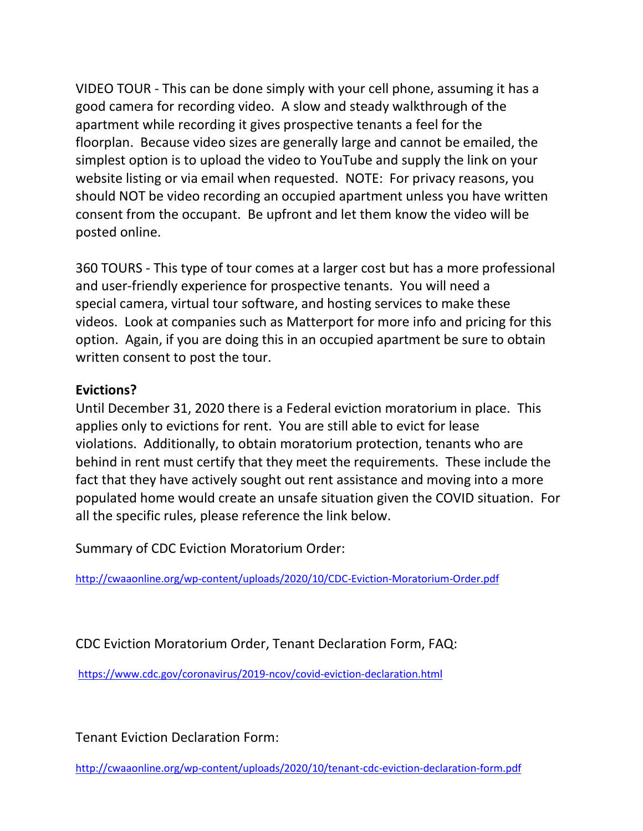VIDEO TOUR - This can be done simply with your cell phone, assuming it has a good camera for recording video. A slow and steady walkthrough of the apartment while recording it gives prospective tenants a feel for the floorplan. Because video sizes are generally large and cannot be emailed, the simplest option is to upload the video to YouTube and supply the link on your website listing or via email when requested. NOTE: For privacy reasons, you should NOT be video recording an occupied apartment unless you have written consent from the occupant. Be upfront and let them know the video will be posted online.

360 TOURS - This type of tour comes at a larger cost but has a more professional and user-friendly experience for prospective tenants. You will need a special camera, virtual tour software, and hosting services to make these videos. Look at companies such as Matterport for more info and pricing for this option. Again, if you are doing this in an occupied apartment be sure to obtain written consent to post the tour.

#### **Evictions?**

Until December 31, 2020 there is a Federal eviction moratorium in place. This applies only to evictions for rent. You are still able to evict for lease violations. Additionally, to obtain moratorium protection, tenants who are behind in rent must certify that they meet the requirements. These include the fact that they have actively sought out rent assistance and moving into a more populated home would create an unsafe situation given the COVID situation. For all the specific rules, please reference the link below.

Summary of CDC Eviction Moratorium Order:

<http://cwaaonline.org/wp-content/uploads/2020/10/CDC-Eviction-Moratorium-Order.pdf>

CDC Eviction Moratorium Order, Tenant Declaration Form, FAQ:

<https://www.cdc.gov/coronavirus/2019-ncov/covid-eviction-declaration.html>

Tenant Eviction Declaration Form:

<http://cwaaonline.org/wp-content/uploads/2020/10/tenant-cdc-eviction-declaration-form.pdf>